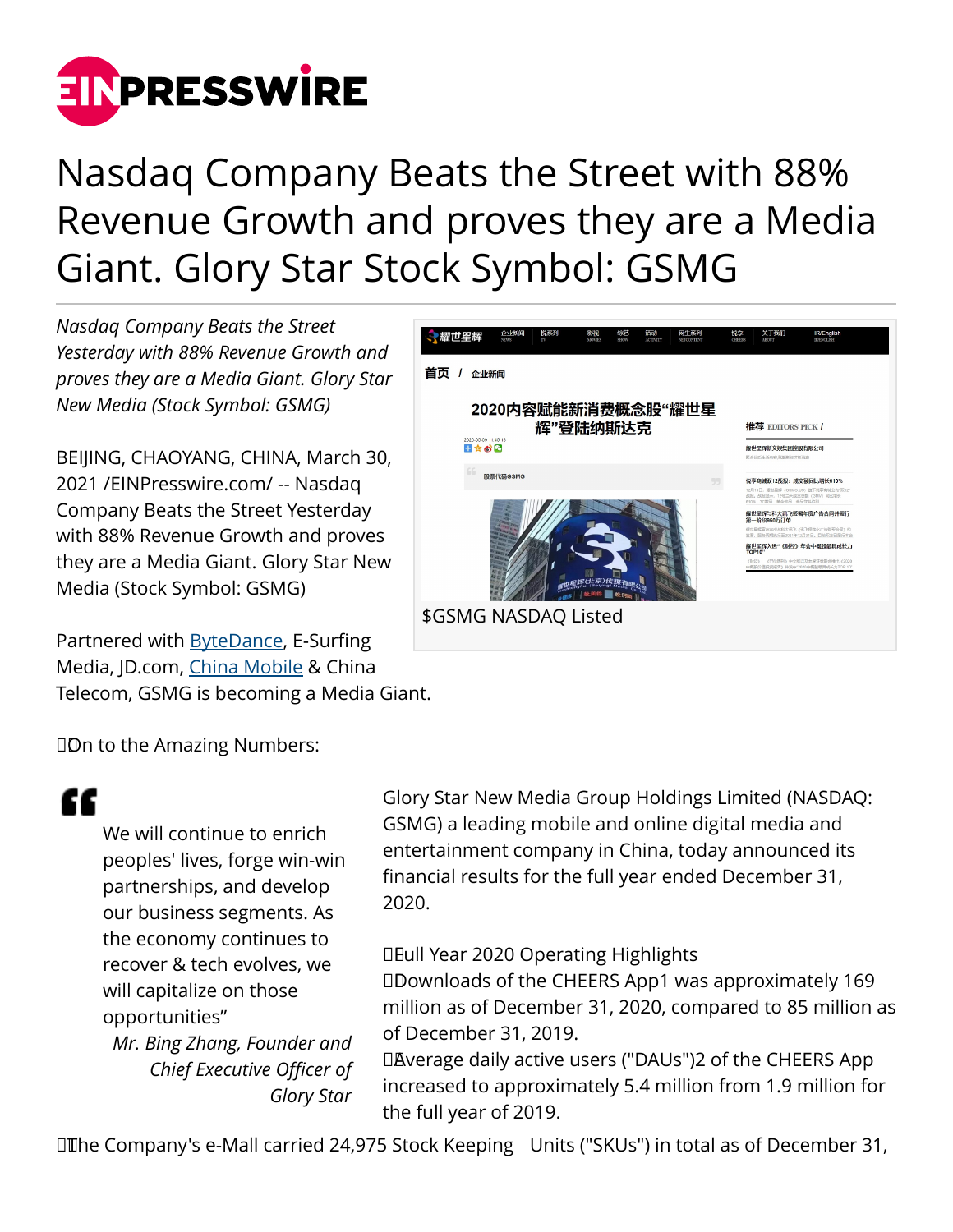

# Nasdaq Company Beats the Street with 88% Revenue Growth and proves they are a Media Giant. Glory Star Stock Symbol: GSMG

*Nasdaq Company Beats the Street Yesterday with 88% Revenue Growth and proves they are a Media Giant. Glory Star New Media (Stock Symbol: GSMG)*

BEIJING, CHAOYANG, CHINA, March 30, 2021 /[EINPresswire.com](http://www.einpresswire.com)/ -- Nasdaq Company Beats the Street Yesterday with 88% Revenue Growth and proves they are a Media Giant. Glory Star New Media (Stock Symbol: GSMG)

Partnered with [ByteDance,](https://www.bytedance.com/en/) E-Surfing Media, JD.com, [China Mobile](https://www.chinamobileltd.com/en/global/home.php) & China Telecom, GSMG is becoming a Media Giant.



□ Dn to the Amazing Numbers:

# "

We will continue to enrich peoples' lives, forge win-win partnerships, and develop our business segments. As the economy continues to recover & tech evolves, we will capitalize on those opportunities" *Mr. Bing Zhang, Founder and Chief Executive Officer of*

*Glory Star*

Glory Star New Media Group Holdings Limited (NASDAQ: GSMG) a leading mobile and online digital media and entertainment company in China, today announced its financial results for the full year ended December 31, 2020.

**DEull Year 2020 Operating Highlights** 

 Downloads of the CHEERS App1 was approximately 169 million as of December 31, 2020, compared to 85 million as of December 31, 2019.

DAverage daily active users ("DAUs")2 of the CHEERS App increased to approximately 5.4 million from 1.9 million for the full year of 2019.

 The Company's e-Mall carried 24,975 Stock Keeping Units ("SKUs") in total as of December 31,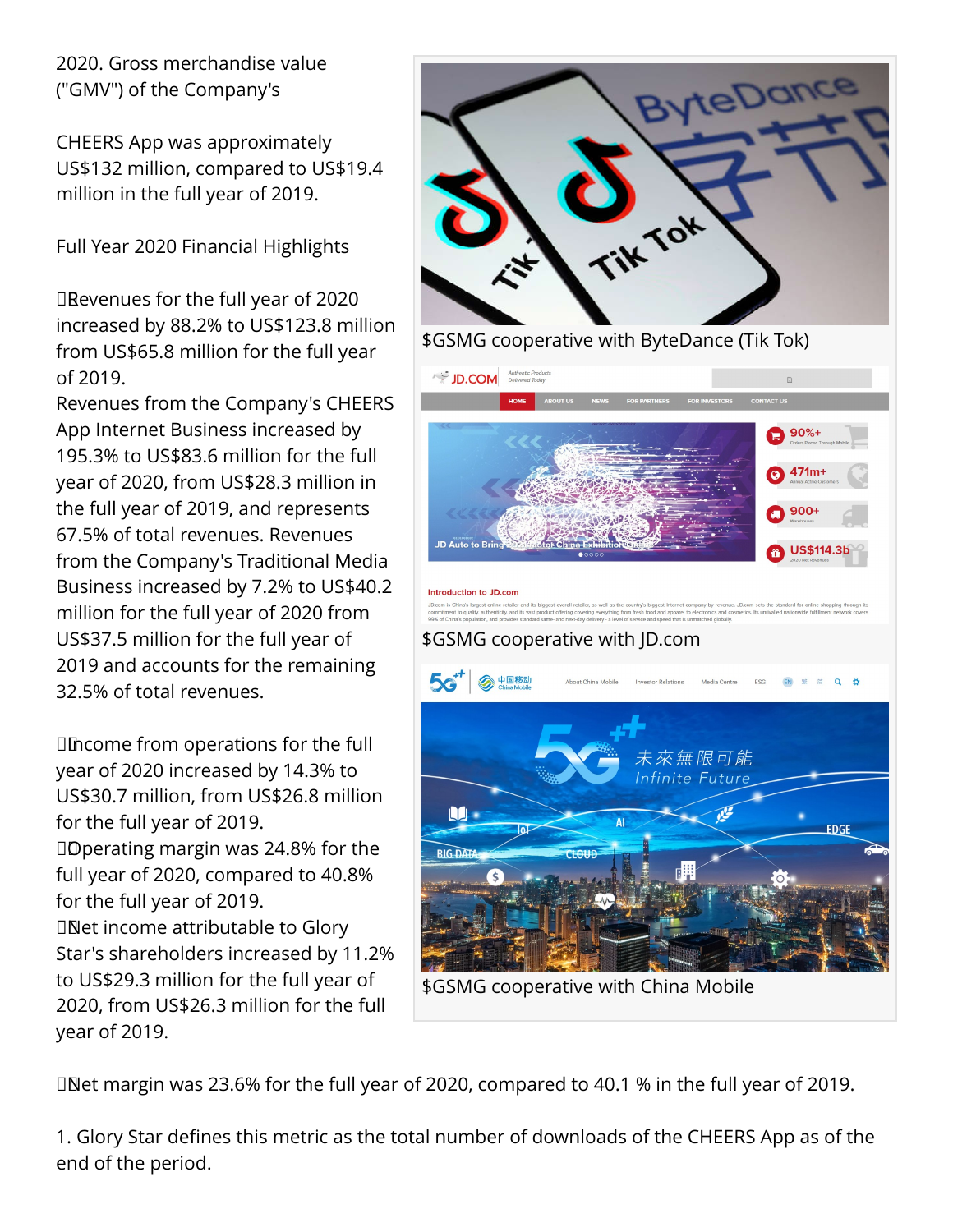2020. Gross merchandise value ("GMV") of the Company's

CHEERS App was approximately US\$132 million, compared to US\$19.4 million in the full year of 2019.

Full Year 2020 Financial Highlights

DRevenues for the full year of 2020 increased by 88.2% to US\$123.8 million from US\$65.8 million for the full year of 2019.

Revenues from the Company's CHEERS App Internet Business increased by 195.3% to US\$83.6 million for the full year of 2020, from US\$28.3 million in the full year of 2019, and represents 67.5% of total revenues. Revenues from the Company's Traditional Media Business increased by 7.2% to US\$40.2 million for the full year of 2020 from US\$37.5 million for the full year of 2019 and accounts for the remaining 32.5% of total revenues.

 Income from operations for the full year of 2020 increased by 14.3% to US\$30.7 million, from US\$26.8 million for the full year of 2019. Doperating margin was 24.8% for the full year of 2020, compared to 40.8% for the full year of 2019. Net income attributable to Glory Star's shareholders increased by 11.2% to US\$29.3 million for the full year of 2020, from US\$26.3 million for the full year of 2019.



\$GSMG cooperative with ByteDance (Tik Tok)



 Net margin was 23.6% for the full year of 2020, compared to 40.1 % in the full year of 2019.

1. Glory Star defines this metric as the total number of downloads of the CHEERS App as of the end of the period.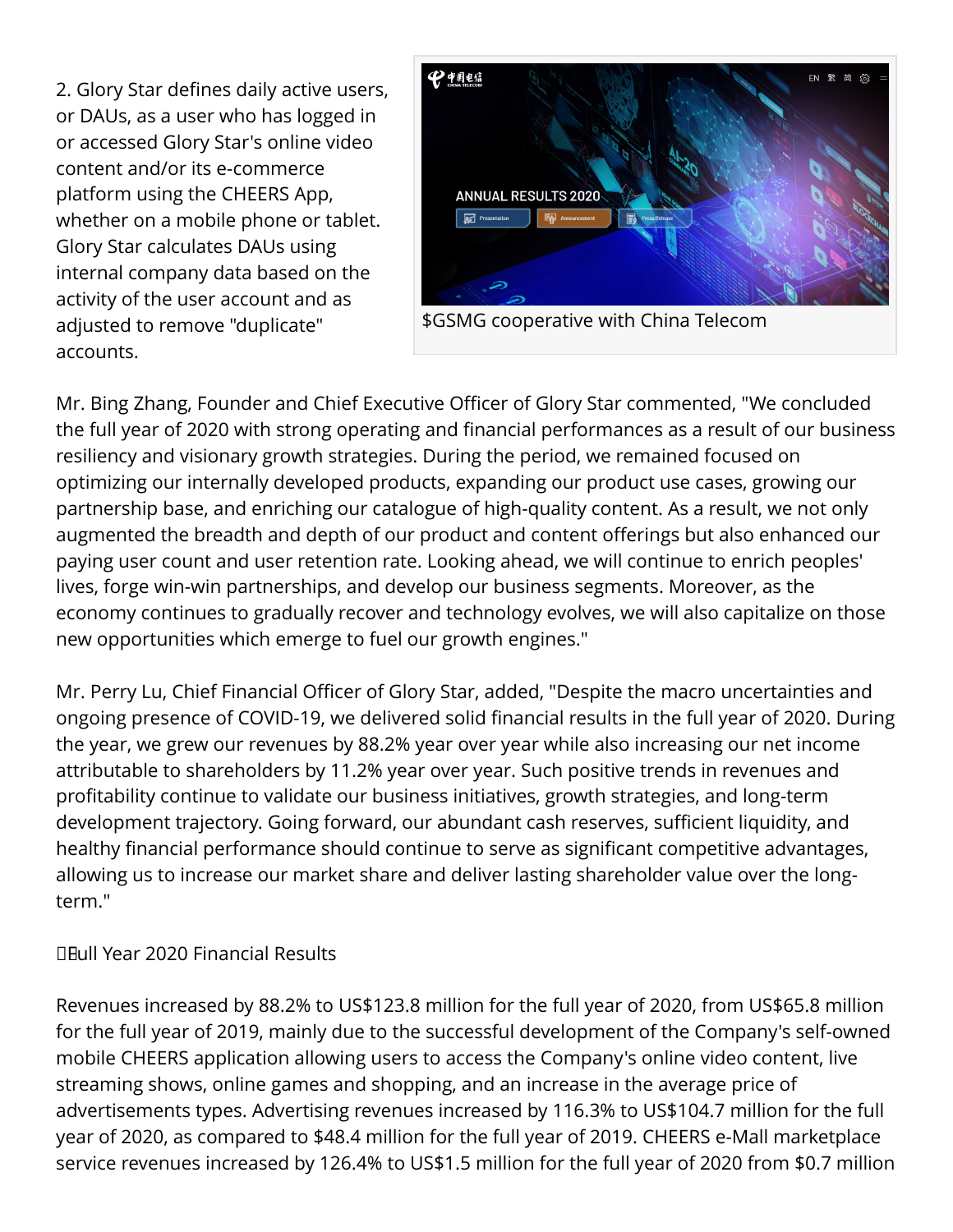2. Glory Star defines daily active users, or DAUs, as a user who has logged in or accessed Glory Star's online video content and/or its e-commerce platform using the CHEERS App, whether on a mobile phone or tablet. Glory Star calculates DAUs using internal company data based on the activity of the user account and as adjusted to remove "duplicate" accounts.



\$GSMG cooperative with China Telecom

Mr. Bing Zhang, Founder and Chief Executive Officer of Glory Star commented, "We concluded the full year of 2020 with strong operating and financial performances as a result of our business resiliency and visionary growth strategies. During the period, we remained focused on optimizing our internally developed products, expanding our product use cases, growing our partnership base, and enriching our catalogue of high-quality content. As a result, we not only augmented the breadth and depth of our product and content offerings but also enhanced our paying user count and user retention rate. Looking ahead, we will continue to enrich peoples' lives, forge win-win partnerships, and develop our business segments. Moreover, as the economy continues to gradually recover and technology evolves, we will also capitalize on those new opportunities which emerge to fuel our growth engines."

Mr. Perry Lu, Chief Financial Officer of Glory Star, added, "Despite the macro uncertainties and ongoing presence of COVID-19, we delivered solid financial results in the full year of 2020. During the year, we grew our revenues by 88.2% year over year while also increasing our net income attributable to shareholders by 11.2% year over year. Such positive trends in revenues and profitability continue to validate our business initiatives, growth strategies, and long-term development trajectory. Going forward, our abundant cash reserves, sufficient liquidity, and healthy financial performance should continue to serve as significant competitive advantages, allowing us to increase our market share and deliver lasting shareholder value over the longterm."

### Full Year 2020 Financial Results

Revenues increased by 88.2% to US\$123.8 million for the full year of 2020, from US\$65.8 million for the full year of 2019, mainly due to the successful development of the Company's self-owned mobile CHEERS application allowing users to access the Company's online video content, live streaming shows, online games and shopping, and an increase in the average price of advertisements types. Advertising revenues increased by 116.3% to US\$104.7 million for the full year of 2020, as compared to \$48.4 million for the full year of 2019. CHEERS e-Mall marketplace service revenues increased by 126.4% to US\$1.5 million for the full year of 2020 from \$0.7 million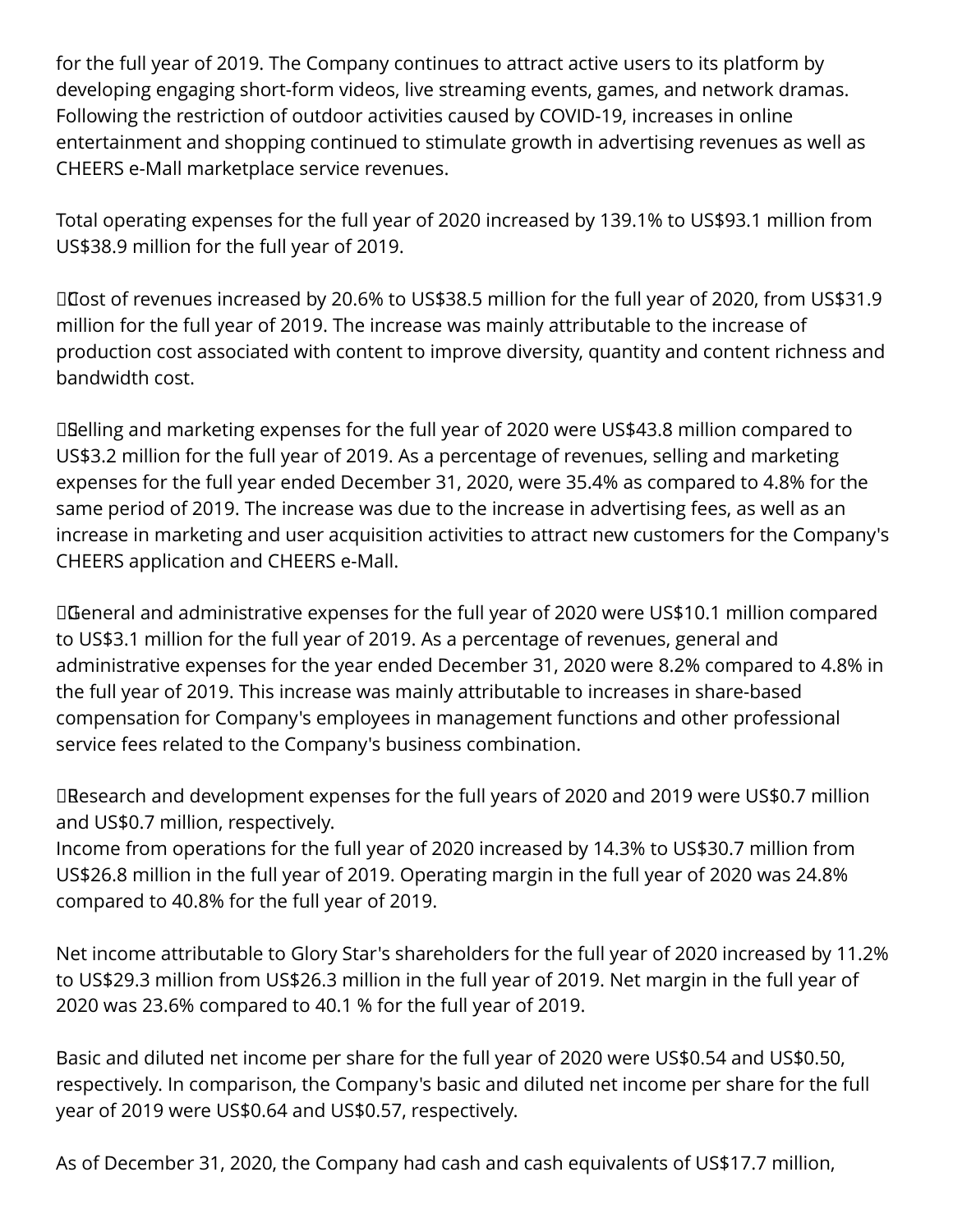for the full year of 2019. The Company continues to attract active users to its platform by developing engaging short-form videos, live streaming events, games, and network dramas. Following the restriction of outdoor activities caused by COVID-19, increases in online entertainment and shopping continued to stimulate growth in advertising revenues as well as CHEERS e-Mall marketplace service revenues.

Total operating expenses for the full year of 2020 increased by 139.1% to US\$93.1 million from US\$38.9 million for the full year of 2019.

Dost of revenues increased by 20.6% to US\$38.5 million for the full year of 2020, from US\$31.9 million for the full year of 2019. The increase was mainly attributable to the increase of production cost associated with content to improve diversity, quantity and content richness and bandwidth cost.

 Selling and marketing expenses for the full year of 2020 were US\$43.8 million compared to US\$3.2 million for the full year of 2019. As a percentage of revenues, selling and marketing expenses for the full year ended December 31, 2020, were 35.4% as compared to 4.8% for the same period of 2019. The increase was due to the increase in advertising fees, as well as an increase in marketing and user acquisition activities to attract new customers for the Company's CHEERS application and CHEERS e-Mall.

 General and administrative expenses for the full year of 2020 were US\$10.1 million compared to US\$3.1 million for the full year of 2019. As a percentage of revenues, general and administrative expenses for the year ended December 31, 2020 were 8.2% compared to 4.8% in the full year of 2019. This increase was mainly attributable to increases in share-based compensation for Company's employees in management functions and other professional service fees related to the Company's business combination.

 Research and development expenses for the full years of 2020 and 2019 were US\$0.7 million and US\$0.7 million, respectively.

Income from operations for the full year of 2020 increased by 14.3% to US\$30.7 million from US\$26.8 million in the full year of 2019. Operating margin in the full year of 2020 was 24.8% compared to 40.8% for the full year of 2019.

Net income attributable to Glory Star's shareholders for the full year of 2020 increased by 11.2% to US\$29.3 million from US\$26.3 million in the full year of 2019. Net margin in the full year of 2020 was 23.6% compared to 40.1 % for the full year of 2019.

Basic and diluted net income per share for the full year of 2020 were US\$0.54 and US\$0.50, respectively. In comparison, the Company's basic and diluted net income per share for the full year of 2019 were US\$0.64 and US\$0.57, respectively.

As of December 31, 2020, the Company had cash and cash equivalents of US\$17.7 million,